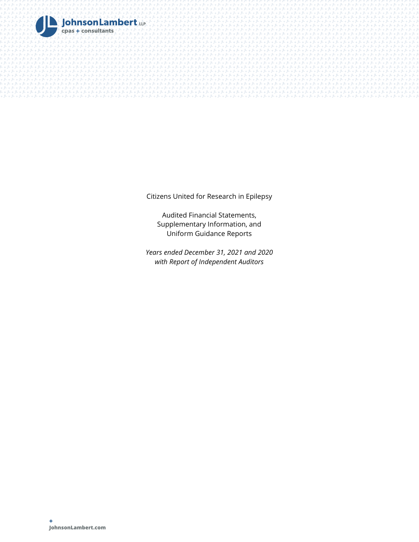

Audited Financial Statements, Supplementary Information, and Uniform Guidance Reports

*Years ended December 31, 2021 and 2020 with Report of Independent Auditors*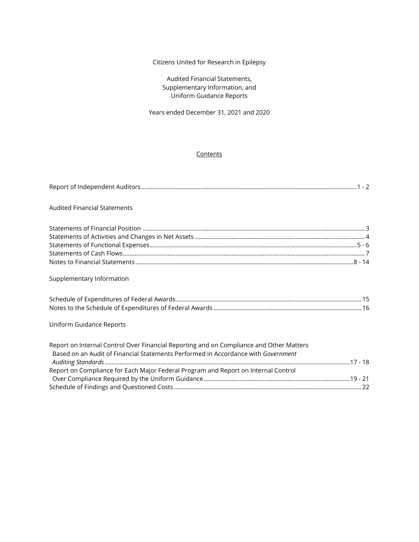# Audited Financial Statements, Supplementary Information, and Uniform Guidance Reports

Years ended December 31, 2021 and 2020

## **Contents**

| <b>Audited Financial Statements</b>                                                                                                                                          |
|------------------------------------------------------------------------------------------------------------------------------------------------------------------------------|
|                                                                                                                                                                              |
| Supplementary Information                                                                                                                                                    |
| Uniform Guidance Reports                                                                                                                                                     |
| Report on Internal Control Over Financial Reporting and on Compliance and Other Matters<br>Based on an Audit of Financial Statements Performed in Accordance with Government |
| Report on Compliance for Each Major Federal Program and Report on Internal Control                                                                                           |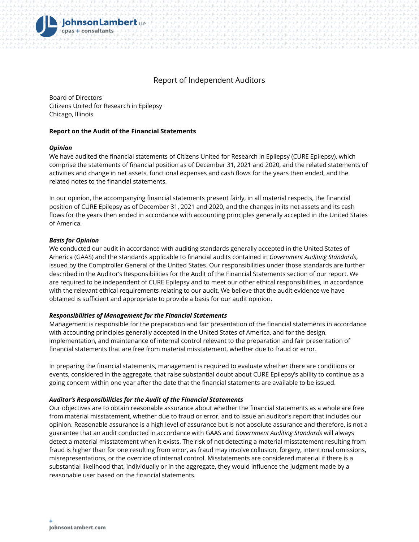

# Report of Independent Auditors

Board of Directors Citizens United for Research in Epilepsy Chicago, Illinois

#### **Report on the Audit of the Financial Statements**

#### *Opinion*

We have audited the financial statements of Citizens United for Research in Epilepsy (CURE Epilepsy), which comprise the statements of financial position as of December 31, 2021 and 2020, and the related statements of activities and change in net assets, functional expenses and cash flows for the years then ended, and the related notes to the financial statements.

In our opinion, the accompanying financial statements present fairly, in all material respects, the financial position of CURE Epilepsy as of December 31, 2021 and 2020, and the changes in its net assets and its cash flows for the years then ended in accordance with accounting principles generally accepted in the United States of America.

#### *Basis for Opinion*

We conducted our audit in accordance with auditing standards generally accepted in the United States of America (GAAS) and the standards applicable to financial audits contained in *Government Auditing Standards*, issued by the Comptroller General of the United States. Our responsibilities under those standards are further described in the Auditor's Responsibilities for the Audit of the Financial Statements section of our report. We are required to be independent of CURE Epilepsy and to meet our other ethical responsibilities, in accordance with the relevant ethical requirements relating to our audit. We believe that the audit evidence we have obtained is sufficient and appropriate to provide a basis for our audit opinion.

#### *Responsibilities of Management for the Financial Statements*

Management is responsible for the preparation and fair presentation of the financial statements in accordance with accounting principles generally accepted in the United States of America, and for the design, implementation, and maintenance of internal control relevant to the preparation and fair presentation of financial statements that are free from material misstatement, whether due to fraud or error.

In preparing the financial statements, management is required to evaluate whether there are conditions or events, considered in the aggregate, that raise substantial doubt about CURE Epilepsy's ability to continue as a going concern within one year after the date that the financial statements are available to be issued.

#### *Auditor's Responsibilities for the Audit of the Financial Statements*

Our objectives are to obtain reasonable assurance about whether the financial statements as a whole are free from material misstatement, whether due to fraud or error, and to issue an auditor's report that includes our opinion. Reasonable assurance is a high level of assurance but is not absolute assurance and therefore, is not a guarantee that an audit conducted in accordance with GAAS and *Government Auditing Standards* will always detect a material misstatement when it exists. The risk of not detecting a material misstatement resulting from fraud is higher than for one resulting from error, as fraud may involve collusion, forgery, intentional omissions, misrepresentations, or the override of internal control. Misstatements are considered material if there is a substantial likelihood that, individually or in the aggregate, they would influence the judgment made by a reasonable user based on the financial statements.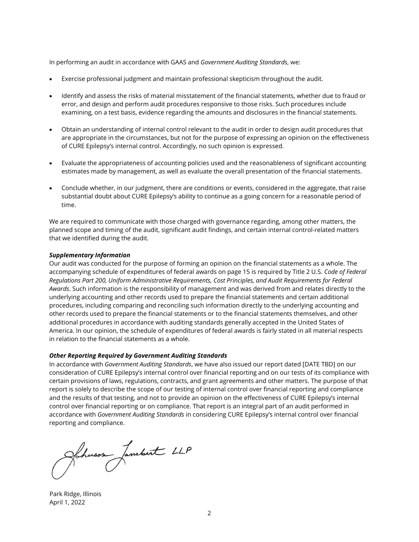In performing an audit in accordance with GAAS and *Government Auditing Standards*, we:

- Exercise professional judgment and maintain professional skepticism throughout the audit.
- Identify and assess the risks of material misstatement of the financial statements, whether due to fraud or error, and design and perform audit procedures responsive to those risks. Such procedures include examining, on a test basis, evidence regarding the amounts and disclosures in the financial statements.
- Obtain an understanding of internal control relevant to the audit in order to design audit procedures that are appropriate in the circumstances, but not for the purpose of expressing an opinion on the effectiveness of CURE Epilepsy's internal control. Accordingly, no such opinion is expressed.
- Evaluate the appropriateness of accounting policies used and the reasonableness of significant accounting estimates made by management, as well as evaluate the overall presentation of the financial statements.
- Conclude whether, in our judgment, there are conditions or events, considered in the aggregate, that raise substantial doubt about CURE Epilepsy's ability to continue as a going concern for a reasonable period of time.

We are required to communicate with those charged with governance regarding, among other matters, the planned scope and timing of the audit, significant audit findings, and certain internal control-related matters that we identified during the audit.

#### *Supplementary Information*

Our audit was conducted for the purpose of forming an opinion on the financial statements as a whole. The accompanying schedule of expenditures of federal awards on page 15 is required by Title 2 U.S. *Code of Federal Regulations Part 200, Uniform Administrative Requirements, Cost Principles, and Audit Requirements for Federal Awards*. Such information is the responsibility of management and was derived from and relates directly to the underlying accounting and other records used to prepare the financial statements and certain additional procedures, including comparing and reconciling such information directly to the underlying accounting and other records used to prepare the financial statements or to the financial statements themselves, and other additional procedures in accordance with auditing standards generally accepted in the United States of America. In our opinion, the schedule of expenditures of federal awards is fairly stated in all material respects in relation to the financial statements as a whole.

#### *Other Reporting Required by Government Auditing Standards*

In accordance with *Government Auditing Standards*, we have also issued our report dated [DATE TBD] on our consideration of CURE Epilepsy's internal control over financial reporting and on our tests of its compliance with certain provisions of laws, regulations, contracts, and grant agreements and other matters. The purpose of that report is solely to describe the scope of our testing of internal control over financial reporting and compliance and the results of that testing, and not to provide an opinion on the effectiveness of CURE Epilepsy's internal control over financial reporting or on compliance. That report is an integral part of an audit performed in accordance with *Government Auditing Standards* in considering CURE Epilepsy's internal control over financial reporting and compliance.

Schuson Jambert LLP

Park Ridge, Illinois April 1, 2022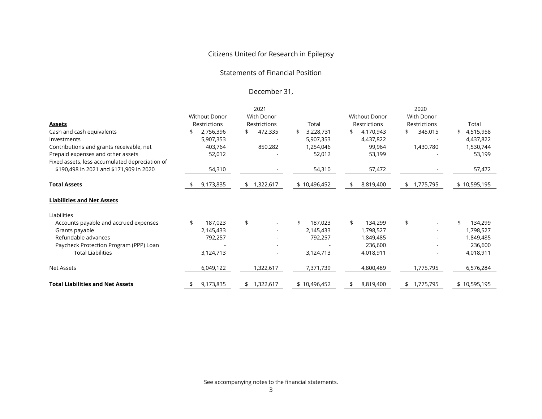# Statements of Financial Position

# December 31,

|                                                |                      | 2021            |                 |                      | 2020              |              |
|------------------------------------------------|----------------------|-----------------|-----------------|----------------------|-------------------|--------------|
|                                                | <b>Without Donor</b> | With Donor      |                 | <b>Without Donor</b> | <b>With Donor</b> |              |
| <b>Assets</b>                                  | Restrictions         | Restrictions    | Total           | Restrictions         | Restrictions      | Total        |
| Cash and cash equivalents                      | 2,756,396            | 472,335<br>\$   | \$<br>3,228,731 | 4,170,943<br>\$      | 345,015<br>\$     | 4,515,958    |
| Investments                                    | 5,907,353            |                 | 5,907,353       | 4,437,822            |                   | 4,437,822    |
| Contributions and grants receivable, net       | 403,764              | 850,282         | 1,254,046       | 99,964               | 1,430,780         | 1,530,744    |
| Prepaid expenses and other assets              | 52,012               |                 | 52,012          | 53,199               |                   | 53,199       |
| Fixed assets, less accumulated depreciation of |                      |                 |                 |                      |                   |              |
| \$190,498 in 2021 and \$171,909 in 2020        | 54,310               |                 | 54,310          | 57,472               |                   | 57,472       |
| <b>Total Assets</b>                            | 9,173,835            | 1,322,617<br>\$ | \$10,496,452    | 8,819,400<br>\$      | 1,775,795<br>\$   | \$10,595,195 |
| <b>Liabilities and Net Assets</b>              |                      |                 |                 |                      |                   |              |
| Liabilities                                    |                      |                 |                 |                      |                   |              |
| Accounts payable and accrued expenses          | 187,023<br>\$        | \$              | 187,023<br>\$   | 134,299<br>\$        | \$                | 134,299      |
| Grants payable                                 | 2,145,433            |                 | 2,145,433       | 1,798,527            |                   | 1,798,527    |
| Refundable advances                            | 792,257              |                 | 792,257         | 1,849,485            |                   | 1,849,485    |
| Paycheck Protection Program (PPP) Loan         |                      |                 |                 | 236,600              |                   | 236,600      |
| <b>Total Liabilities</b>                       | 3,124,713            |                 | 3,124,713       | 4,018,911            |                   | 4,018,911    |
| Net Assets                                     | 6,049,122            | 1,322,617       | 7,371,739       | 4,800,489            | 1,775,795         | 6,576,284    |
| <b>Total Liabilities and Net Assets</b>        | 9,173,835            | 1,322,617       | \$10,496,452    | 8,819,400            | 1,775,795<br>\$   | \$10,595,195 |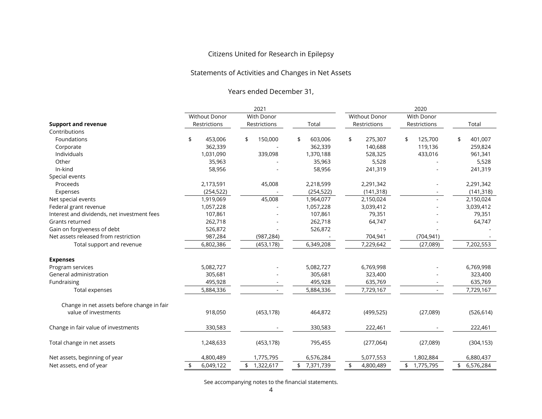# Statements of Activities and Changes in Net Assets

# Years ended December 31,

|                                             | 2021 |                      |    |              | 2020 |             |              |               |    |                   |    |             |  |
|---------------------------------------------|------|----------------------|----|--------------|------|-------------|--------------|---------------|----|-------------------|----|-------------|--|
|                                             |      | <b>Without Donor</b> |    | With Donor   |      |             |              | Without Donor |    | <b>With Donor</b> |    |             |  |
| <b>Support and revenue</b>                  |      | Restrictions         |    | Restrictions |      | Total       | Restrictions |               |    | Restrictions      |    | Total       |  |
| Contributions                               |      |                      |    |              |      |             |              |               |    |                   |    |             |  |
| Foundations                                 | \$   | 453,006              | \$ | 150,000      | \$   | 603,006     | \$           | 275,307       | \$ | 125,700           | \$ | 401,007     |  |
| Corporate                                   |      | 362,339              |    |              |      | 362,339     |              | 140,688       |    | 119,136           |    | 259,824     |  |
| Individuals                                 |      | 1,031,090            |    | 339,098      |      | 1,370,188   |              | 528,325       |    | 433,016           |    | 961,341     |  |
| Other                                       |      | 35,963               |    |              |      | 35,963      |              | 5,528         |    |                   |    | 5,528       |  |
| In-kind                                     |      | 58,956               |    |              |      | 58,956      |              | 241,319       |    |                   |    | 241,319     |  |
| Special events                              |      |                      |    |              |      |             |              |               |    |                   |    |             |  |
| Proceeds                                    |      | 2,173,591            |    | 45,008       |      | 2,218,599   |              | 2,291,342     |    |                   |    | 2,291,342   |  |
| Expenses                                    |      | (254, 522)           |    |              |      | (254, 522)  |              | (141, 318)    |    |                   |    | (141, 318)  |  |
| Net special events                          |      | 1,919,069            |    | 45,008       |      | 1,964,077   |              | 2,150,024     |    |                   |    | 2,150,024   |  |
| Federal grant revenue                       |      | 1,057,228            |    |              |      | 1,057,228   |              | 3,039,412     |    |                   |    | 3,039,412   |  |
| Interest and dividends, net investment fees |      | 107,861              |    |              |      | 107,861     |              | 79,351        |    |                   |    | 79,351      |  |
| Grants returned                             |      | 262,718              |    |              |      | 262,718     |              | 64,747        |    |                   |    | 64,747      |  |
| Gain on forgiveness of debt                 |      | 526,872              |    |              |      | 526,872     |              |               |    |                   |    |             |  |
| Net assets released from restriction        |      | 987,284              |    | (987, 284)   |      |             |              | 704,941       |    | (704, 941)        |    |             |  |
| Total support and revenue                   |      | 6,802,386            |    | (453, 178)   |      | 6,349,208   |              | 7,229,642     |    | (27,089)          |    | 7,202,553   |  |
| <b>Expenses</b>                             |      |                      |    |              |      |             |              |               |    |                   |    |             |  |
| Program services                            |      | 5,082,727            |    |              |      | 5,082,727   |              | 6,769,998     |    |                   |    | 6,769,998   |  |
| General administration                      |      | 305,681              |    |              |      | 305,681     |              | 323,400       |    |                   |    | 323,400     |  |
| Fundraising                                 |      | 495,928              |    |              |      | 495,928     |              | 635,769       |    |                   |    | 635,769     |  |
| Total expenses                              |      | 5,884,336            |    | $\sim$       |      | 5,884,336   |              | 7,729,167     |    |                   |    | 7,729,167   |  |
| Change in net assets before change in fair  |      |                      |    |              |      |             |              |               |    |                   |    |             |  |
| value of investments                        |      | 918,050              |    | (453, 178)   |      | 464,872     |              | (499, 525)    |    | (27,089)          |    | (526, 614)  |  |
| Change in fair value of investments         |      | 330,583              |    |              |      | 330,583     |              | 222,461       |    |                   |    | 222,461     |  |
| Total change in net assets                  |      | 1,248,633            |    | (453, 178)   |      | 795,455     |              | (277,064)     |    | (27,089)          |    | (304, 153)  |  |
| Net assets, beginning of year               |      | 4,800,489            |    | 1,775,795    |      | 6,576,284   |              | 5,077,553     |    | 1,802,884         |    | 6,880,437   |  |
| Net assets, end of year                     | \$   | 6,049,122            |    | \$1,322,617  |      | \$7,371,739 | \$           | 4,800,489     |    | \$ 1,775,795      |    | \$6,576,284 |  |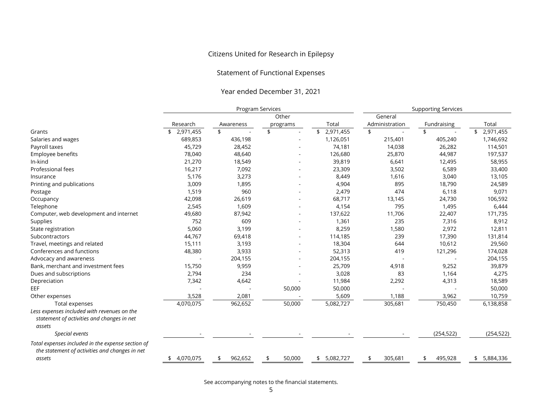# Statement of Functional Expenses

# Year ended December 31, 2021

|                                                                                                               |                 | <b>Program Services</b> |              |                 | <b>Supporting Services</b> |               |                            |  |
|---------------------------------------------------------------------------------------------------------------|-----------------|-------------------------|--------------|-----------------|----------------------------|---------------|----------------------------|--|
|                                                                                                               |                 |                         | Other        |                 | General                    |               |                            |  |
|                                                                                                               | Research        | Awareness               | programs     | Total           | Administration             | Fundraising   | Total                      |  |
| Grants                                                                                                        | 2,971,455<br>\$ | \$                      | \$           | 2,971,455<br>\$ | \$                         | \$            | $\frac{1}{2}$<br>2,971,455 |  |
| Salaries and wages                                                                                            | 689,853         | 436,198                 |              | 1,126,051       | 215,401                    | 405,240       | 1,746,692                  |  |
| Payroll taxes                                                                                                 | 45,729          | 28,452                  |              | 74,181          | 14,038                     | 26,282        | 114,501                    |  |
| Employee benefits                                                                                             | 78,040          | 48,640                  |              | 126,680         | 25,870                     | 44,987        | 197,537                    |  |
| In-kind                                                                                                       | 21,270          | 18,549                  |              | 39,819          | 6,641                      | 12,495        | 58,955                     |  |
| Professional fees                                                                                             | 16,217          | 7,092                   |              | 23,309          | 3,502                      | 6,589         | 33,400                     |  |
| Insurance                                                                                                     | 5,176           | 3,273                   |              | 8,449           | 1,616                      | 3,040         | 13,105                     |  |
| Printing and publications                                                                                     | 3,009           | 1,895                   |              | 4,904           | 895                        | 18,790        | 24,589                     |  |
| Postage                                                                                                       | 1,519           | 960                     |              | 2,479           | 474                        | 6,118         | 9,071                      |  |
| Occupancy                                                                                                     | 42,098          | 26,619                  |              | 68,717          | 13,145                     | 24,730        | 106,592                    |  |
| Telephone                                                                                                     | 2,545           | 1,609                   |              | 4,154           | 795                        | 1,495         | 6,444                      |  |
| Computer, web development and internet                                                                        | 49,680          | 87,942                  |              | 137,622         | 11,706                     | 22,407        | 171,735                    |  |
| Supplies                                                                                                      | 752             | 609                     |              | 1,361           | 235                        | 7,316         | 8,912                      |  |
| State registration                                                                                            | 5,060           | 3,199                   |              | 8,259           | 1,580                      | 2,972         | 12,811                     |  |
| Subcontractors                                                                                                | 44,767          | 69,418                  |              | 114,185         | 239                        | 17,390        | 131,814                    |  |
| Travel, meetings and related                                                                                  | 15,111          | 3,193                   |              | 18,304          | 644                        | 10,612        | 29,560                     |  |
| Conferences and functions                                                                                     | 48,380          | 3,933                   |              | 52,313          | 419                        | 121,296       | 174,028                    |  |
| Advocacy and awareness                                                                                        |                 | 204,155                 |              | 204,155         |                            |               | 204,155                    |  |
| Bank, merchant and investment fees                                                                            | 15,750          | 9,959                   |              | 25,709          | 4,918                      | 9,252         | 39,879                     |  |
| Dues and subscriptions                                                                                        | 2,794           | 234                     |              | 3,028           | 83                         | 1,164         | 4,275                      |  |
| Depreciation                                                                                                  | 7,342           | 4,642                   |              | 11,984          | 2,292                      | 4,313         | 18,589                     |  |
| EEF                                                                                                           |                 |                         | 50,000       | 50,000          |                            |               | 50,000                     |  |
| Other expenses                                                                                                | 3,528           | 2,081                   |              | 5,609           | 1,188                      | 3,962         | 10,759                     |  |
| Total expenses                                                                                                | 4,070,075       | 962,652                 | 50,000       | 5,082,727       | 305,681                    | 750,450       | 6,138,858                  |  |
| Less expenses included with revenues on the<br>statement of activities and changes in net<br>assets           |                 |                         |              |                 |                            |               |                            |  |
| Special events                                                                                                |                 |                         |              |                 |                            | (254, 522)    | (254, 522)                 |  |
| Total expenses included in the expense section of<br>the statement of activities and changes in net<br>assets | \$4,070,075     | 962,652<br>\$           | 50,000<br>\$ | \$5,082,727     | 305,681<br>\$              | 495,928<br>\$ | \$5,884,336                |  |
|                                                                                                               |                 |                         |              |                 |                            |               |                            |  |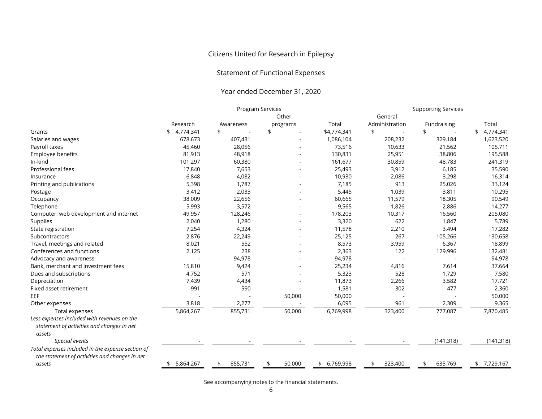# Statement of Functional Expenses

# Year ended December 31, 2020

|                                                                                                     |                 | Program Services |              |             |                | <b>Supporting Services</b> |                 |  |  |
|-----------------------------------------------------------------------------------------------------|-----------------|------------------|--------------|-------------|----------------|----------------------------|-----------------|--|--|
|                                                                                                     |                 |                  | Other        |             | General        |                            |                 |  |  |
|                                                                                                     | Research        | Awareness        | programs     | Total       | Administration | Fundraising                | Total           |  |  |
| Grants                                                                                              | \$<br>4,774,341 | \$               | \$           | \$4,774,341 | \$             | \$                         | \$<br>4,774,341 |  |  |
| Salaries and wages                                                                                  | 678,673         | 407,431          |              | 1,086,104   | 208,232        | 329,184                    | 1,623,520       |  |  |
| Payroll taxes                                                                                       | 45,460          | 28,056           |              | 73,516      | 10,633         | 21,562                     | 105,711         |  |  |
| Employee benefits                                                                                   | 81,913          | 48,918           |              | 130,831     | 25,951         | 38,806                     | 195,588         |  |  |
| In-kind                                                                                             | 101,297         | 60,380           |              | 161,677     | 30,859         | 48,783                     | 241,319         |  |  |
| Professional fees                                                                                   | 17,840          | 7,653            |              | 25,493      | 3,912          | 6,185                      | 35,590          |  |  |
| Insurance                                                                                           | 6,848           | 4,082            |              | 10,930      | 2,086          | 3,298                      | 16,314          |  |  |
| Printing and publications                                                                           | 5,398           | 1,787            |              | 7,185       | 913            | 25,026                     | 33,124          |  |  |
| Postage                                                                                             | 3,412           | 2,033            |              | 5,445       | 1,039          | 3,811                      | 10,295          |  |  |
| Occupancy                                                                                           | 38,009          | 22,656           |              | 60,665      | 11,579         | 18,305                     | 90,549          |  |  |
| Telephone                                                                                           | 5,993           | 3,572            |              | 9,565       | 1,826          | 2,886                      | 14,277          |  |  |
| Computer, web development and internet                                                              | 49,957          | 128,246          |              | 178,203     | 10,317         | 16,560                     | 205,080         |  |  |
| Supplies                                                                                            | 2,040           | 1,280            |              | 3,320       | 622            | 1,847                      | 5,789           |  |  |
| State registration                                                                                  | 7,254           | 4,324            |              | 11,578      | 2,210          | 3,494                      | 17,282          |  |  |
| Subcontractors                                                                                      | 2,876           | 22,249           |              | 25,125      | 267            | 105,266                    | 130,658         |  |  |
| Travel, meetings and related                                                                        | 8,021           | 552              |              | 8,573       | 3,959          | 6,367                      | 18,899          |  |  |
| Conferences and functions                                                                           | 2,125           | 238              |              | 2,363       | 122            | 129,996                    | 132,481         |  |  |
| Advocacy and awareness                                                                              |                 | 94,978           |              | 94,978      |                |                            | 94,978          |  |  |
| Bank, merchant and investment fees                                                                  | 15,810          | 9,424            |              | 25,234      | 4,816          | 7,614                      | 37,664          |  |  |
| Dues and subscriptions                                                                              | 4,752           | 571              |              | 5,323       | 528            | 1,729                      | 7,580           |  |  |
| Depreciation                                                                                        | 7,439           | 4,434            |              | 11,873      | 2,266          | 3,582                      | 17,721          |  |  |
| Fixed asset retirement                                                                              | 991             | 590              |              | 1,581       | 302            | 477                        | 2,360           |  |  |
| EEF                                                                                                 |                 |                  | 50,000       | 50,000      |                |                            | 50,000          |  |  |
| Other expenses                                                                                      | 3,818           | 2,277            |              | 6,095       | 961            | 2,309                      | 9,365           |  |  |
| Total expenses                                                                                      | 5,864,267       | 855,731          | 50,000       | 6,769,998   | 323,400        | 777,087                    | 7,870,485       |  |  |
| Less expenses included with revenues on the<br>statement of activities and changes in net<br>assets |                 |                  |              |             |                |                            |                 |  |  |
| Special events                                                                                      |                 |                  |              |             |                | (141, 318)                 | (141, 318)      |  |  |
| Total expenses included in the expense section of                                                   |                 |                  |              |             |                |                            |                 |  |  |
| the statement of activities and changes in net<br>assets                                            | \$5,864,267     | 855,731<br>\$    | 50,000<br>\$ | \$6,769,998 | 323,400<br>\$  | 635,769<br>\$              | \$7,729,167     |  |  |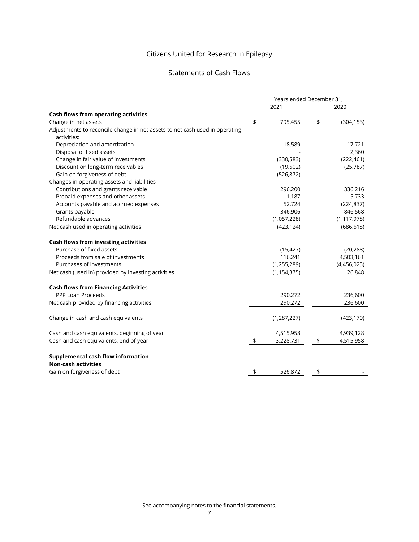# Statements of Cash Flows

|                                                                                                 |                      | Years ended December 31, |                  |  |  |
|-------------------------------------------------------------------------------------------------|----------------------|--------------------------|------------------|--|--|
|                                                                                                 |                      | 2021                     | 2020             |  |  |
| Cash flows from operating activities                                                            |                      |                          |                  |  |  |
| Change in net assets                                                                            | \$                   | 795,455                  | \$<br>(304, 153) |  |  |
| Adjustments to reconcile change in net assets to net cash used in operating                     |                      |                          |                  |  |  |
| activities:                                                                                     |                      |                          |                  |  |  |
| Depreciation and amortization                                                                   |                      | 18,589                   | 17,721           |  |  |
| Disposal of fixed assets                                                                        |                      |                          | 2,360            |  |  |
| Change in fair value of investments                                                             |                      | (330, 583)               | (222, 461)       |  |  |
| Discount on long-term receivables                                                               |                      | (19,502)                 | (25, 787)        |  |  |
| Gain on forgiveness of debt                                                                     |                      | (526, 872)               |                  |  |  |
| Changes in operating assets and liabilities                                                     |                      |                          |                  |  |  |
| Contributions and grants receivable                                                             |                      | 296,200                  | 336,216          |  |  |
| Prepaid expenses and other assets                                                               |                      | 1,187                    | 5,733            |  |  |
| Accounts payable and accrued expenses                                                           |                      | 52,724                   | (224, 837)       |  |  |
| Grants payable                                                                                  |                      | 346,906                  | 846,568          |  |  |
| Refundable advances                                                                             |                      | (1,057,228)              | (1, 117, 978)    |  |  |
| Net cash used in operating activities                                                           |                      | (423, 124)               | (686, 618)       |  |  |
| <b>Cash flows from investing activities</b>                                                     |                      |                          |                  |  |  |
| Purchase of fixed assets                                                                        |                      | (15, 427)                | (20, 288)        |  |  |
| Proceeds from sale of investments                                                               |                      | 116,241                  | 4,503,161        |  |  |
| Purchases of investments                                                                        |                      | (1, 255, 289)            | (4,456,025)      |  |  |
| Net cash (used in) provided by investing activities                                             |                      | (1, 154, 375)            | 26,848           |  |  |
| <b>Cash flows from Financing Activities</b>                                                     |                      |                          |                  |  |  |
| PPP Loan Proceeds                                                                               |                      | 290,272                  | 236,600          |  |  |
| Net cash provided by financing activities                                                       |                      | 290,272                  | 236,600          |  |  |
| Change in cash and cash equivalents                                                             |                      | (1, 287, 227)            | (423, 170)       |  |  |
| Cash and cash equivalents, beginning of year                                                    |                      | 4,515,958                | 4,939,128        |  |  |
| Cash and cash equivalents, end of year                                                          | $\pmb{\mathfrak{z}}$ | 3,228,731                | \$<br>4,515,958  |  |  |
| Supplemental cash flow information<br><b>Non-cash activities</b><br>Gain on forgiveness of debt | \$                   | 526,872                  | \$               |  |  |
|                                                                                                 |                      |                          |                  |  |  |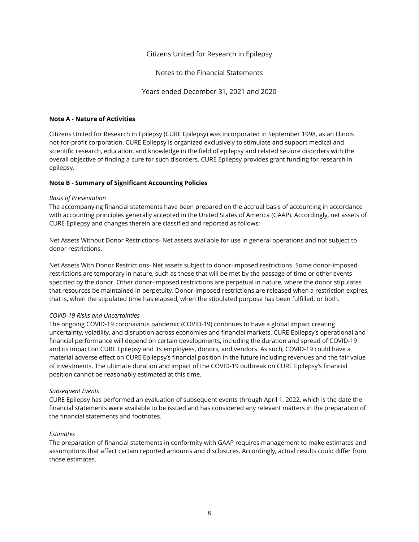Notes to the Financial Statements

Years ended December 31, 2021 and 2020

# **Note A - Nature of Activities**

Citizens United for Research in Epilepsy (CURE Epilepsy) was incorporated in September 1998, as an Illinois not-for-profit corporation. CURE Epilepsy is organized exclusively to stimulate and support medical and scientific research, education, and knowledge in the field of epilepsy and related seizure disorders with the overall objective of finding a cure for such disorders. CURE Epilepsy provides grant funding for research in epilepsy.

# **Note B - Summary of Significant Accounting Policies**

#### *Basis of Presentation*

The accompanying financial statements have been prepared on the accrual basis of accounting in accordance with accounting principles generally accepted in the United States of America (GAAP). Accordingly, net assets of CURE Epilepsy and changes therein are classified and reported as follows:

Net Assets Without Donor Restrictions- Net assets available for use in general operations and not subject to donor restrictions.

Net Assets With Donor Restrictions- Net assets subject to donor-imposed restrictions. Some donor-imposed restrictions are temporary in nature, such as those that will be met by the passage of time or other events specified by the donor. Other donor-imposed restrictions are perpetual in nature, where the donor stipulates that resources be maintained in perpetuity. Donor-imposed restrictions are released when a restriction expires, that is, when the stipulated time has elapsed, when the stipulated purpose has been fulfilled, or both.

#### *COVID-19 Risks and Uncertainties*

The ongoing COVID-19 coronavirus pandemic (COVID-19) continues to have a global impact creating uncertainty, volatility, and disruption across economies and financial markets. CURE Epilepsy's operational and financial performance will depend on certain developments, including the duration and spread of COVID-19 and its impact on CURE Epilepsy and its employees, donors, and vendors. As such, COVID-19 could have a material adverse effect on CURE Epilepsy's financial position in the future including revenues and the fair value of investments. The ultimate duration and impact of the COVID-19 outbreak on CURE Epilepsy's financial position cannot be reasonably estimated at this time.

#### *Subsequent Events*

CURE Epilepsy has performed an evaluation of subsequent events through April 1, 2022, which is the date the financial statements were available to be issued and has considered any relevant matters in the preparation of the financial statements and footnotes.

#### *Estimates*

The preparation of financial statements in conformity with GAAP requires management to make estimates and assumptions that affect certain reported amounts and disclosures. Accordingly, actual results could differ from those estimates.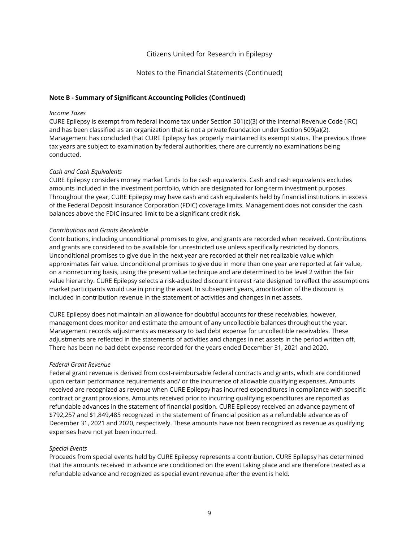Notes to the Financial Statements (Continued)

## **Note B - Summary of Significant Accounting Policies (Continued)**

#### *Income Taxes*

CURE Epilepsy is exempt from federal income tax under Section 501(c)(3) of the Internal Revenue Code (IRC) and has been classified as an organization that is not a private foundation under Section 509(a)(2). Management has concluded that CURE Epilepsy has properly maintained its exempt status. The previous three tax years are subject to examination by federal authorities, there are currently no examinations being conducted.

#### *Cash and Cash Equivalents*

CURE Epilepsy considers money market funds to be cash equivalents. Cash and cash equivalents excludes amounts included in the investment portfolio, which are designated for long-term investment purposes. Throughout the year, CURE Epilepsy may have cash and cash equivalents held by financial institutions in excess of the Federal Deposit Insurance Corporation (FDIC) coverage limits. Management does not consider the cash balances above the FDIC insured limit to be a significant credit risk.

#### *Contributions and Grants Receivable*

Contributions, including unconditional promises to give, and grants are recorded when received. Contributions and grants are considered to be available for unrestricted use unless specifically restricted by donors. Unconditional promises to give due in the next year are recorded at their net realizable value which approximates fair value. Unconditional promises to give due in more than one year are reported at fair value, on a nonrecurring basis, using the present value technique and are determined to be level 2 within the fair value hierarchy. CURE Epilepsy selects a risk-adjusted discount interest rate designed to reflect the assumptions market participants would use in pricing the asset. In subsequent years, amortization of the discount is included in contribution revenue in the statement of activities and changes in net assets.

CURE Epilepsy does not maintain an allowance for doubtful accounts for these receivables, however, management does monitor and estimate the amount of any uncollectible balances throughout the year. Management records adjustments as necessary to bad debt expense for uncollectible receivables. These adjustments are reflected in the statements of activities and changes in net assets in the period written off. There has been no bad debt expense recorded for the years ended December 31, 2021 and 2020.

#### *Federal Grant Revenue*

Federal grant revenue is derived from cost-reimbursable federal contracts and grants, which are conditioned upon certain performance requirements and/ or the incurrence of allowable qualifying expenses. Amounts received are recognized as revenue when CURE Epilepsy has incurred expenditures in compliance with specific contract or grant provisions. Amounts received prior to incurring qualifying expenditures are reported as refundable advances in the statement of financial position. CURE Epilepsy received an advance payment of \$792,257 and \$1,849,485 recognized in the statement of financial position as a refundable advance as of December 31, 2021 and 2020, respectively. These amounts have not been recognized as revenue as qualifying expenses have not yet been incurred.

#### *Special Events*

Proceeds from special events held by CURE Epilepsy represents a contribution. CURE Epilepsy has determined that the amounts received in advance are conditioned on the event taking place and are therefore treated as a refundable advance and recognized as special event revenue after the event is held.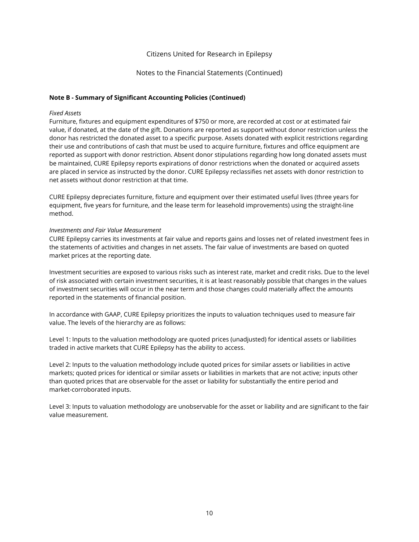Notes to the Financial Statements (Continued)

## **Note B - Summary of Significant Accounting Policies (Continued)**

#### *Fixed Assets*

Furniture, fixtures and equipment expenditures of \$750 or more, are recorded at cost or at estimated fair value, if donated, at the date of the gift. Donations are reported as support without donor restriction unless the donor has restricted the donated asset to a specific purpose. Assets donated with explicit restrictions regarding their use and contributions of cash that must be used to acquire furniture, fixtures and office equipment are reported as support with donor restriction. Absent donor stipulations regarding how long donated assets must be maintained, CURE Epilepsy reports expirations of donor restrictions when the donated or acquired assets are placed in service as instructed by the donor. CURE Epilepsy reclassifies net assets with donor restriction to net assets without donor restriction at that time.

CURE Epilepsy depreciates furniture, fixture and equipment over their estimated useful lives (three years for equipment, five years for furniture, and the lease term for leasehold improvements) using the straight-line method.

#### *Investments and Fair Value Measurement*

CURE Epilepsy carries its investments at fair value and reports gains and losses net of related investment fees in the statements of activities and changes in net assets. The fair value of investments are based on quoted market prices at the reporting date.

Investment securities are exposed to various risks such as interest rate, market and credit risks. Due to the level of risk associated with certain investment securities, it is at least reasonably possible that changes in the values of investment securities will occur in the near term and those changes could materially affect the amounts reported in the statements of financial position.

In accordance with GAAP, CURE Epilepsy prioritizes the inputs to valuation techniques used to measure fair value. The levels of the hierarchy are as follows:

Level 1: Inputs to the valuation methodology are quoted prices (unadjusted) for identical assets or liabilities traded in active markets that CURE Epilepsy has the ability to access.

Level 2: Inputs to the valuation methodology include quoted prices for similar assets or liabilities in active markets; quoted prices for identical or similar assets or liabilities in markets that are not active; inputs other than quoted prices that are observable for the asset or liability for substantially the entire period and market-corroborated inputs.

Level 3: Inputs to valuation methodology are unobservable for the asset or liability and are significant to the fair value measurement.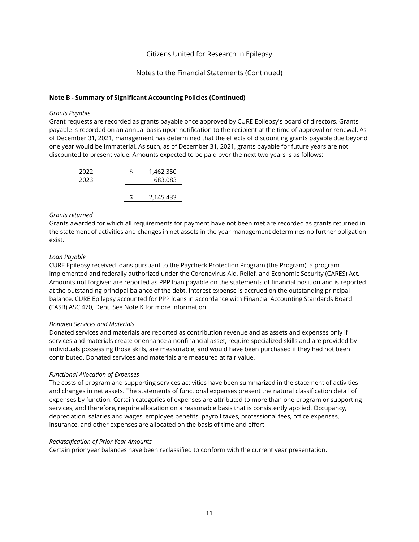## Notes to the Financial Statements (Continued)

#### **Note B - Summary of Significant Accounting Policies (Continued)**

#### *Grants Payable*

Grant requests are recorded as grants payable once approved by CURE Epilepsy's board of directors. Grants payable is recorded on an annual basis upon notification to the recipient at the time of approval or renewal. As of December 31, 2021, management has determined that the effects of discounting grants payable due beyond one year would be immaterial. As such, as of December 31, 2021, grants payable for future years are not discounted to present value. Amounts expected to be paid over the next two years is as follows:

| 2022 | \$<br>1,462,350 |
|------|-----------------|
| 2023 | 683,083         |
|      |                 |
|      | \$<br>2,145,433 |

#### *Grants returned*

Grants awarded for which all requirements for payment have not been met are recorded as grants returned in the statement of activities and changes in net assets in the year management determines no further obligation exist.

#### *Loan Payable*

CURE Epilepsy received loans pursuant to the Paycheck Protection Program (the Program), a program implemented and federally authorized under the Coronavirus Aid, Relief, and Economic Security (CARES) Act. Amounts not forgiven are reported as PPP loan payable on the statements of financial position and is reported at the outstanding principal balance of the debt. Interest expense is accrued on the outstanding principal balance. CURE Epilepsy accounted for PPP loans in accordance with Financial Accounting Standards Board (FASB) ASC 470, Debt. See Note K for more information.

#### *Donated Services and Materials*

Donated services and materials are reported as contribution revenue and as assets and expenses only if services and materials create or enhance a nonfinancial asset, require specialized skills and are provided by individuals possessing those skills, are measurable, and would have been purchased if they had not been contributed. Donated services and materials are measured at fair value.

#### *Functional Allocation of Expenses*

The costs of program and supporting services activities have been summarized in the statement of activities and changes in net assets. The statements of functional expenses present the natural classification detail of expenses by function. Certain categories of expenses are attributed to more than one program or supporting services, and therefore, require allocation on a reasonable basis that is consistently applied. Occupancy, depreciation, salaries and wages, employee benefits, payroll taxes, professional fees, office expenses, insurance, and other expenses are allocated on the basis of time and effort.

#### *Reclassification of Prior Year Amounts*

Certain prior year balances have been reclassified to conform with the current year presentation.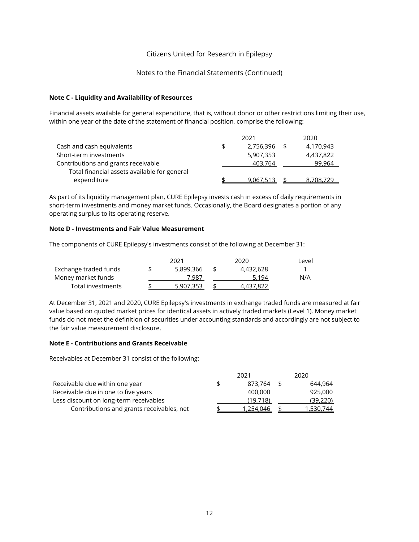# Notes to the Financial Statements (Continued)

## **Note C - Liquidity and Availability of Resources**

Financial assets available for general expenditure, that is, without donor or other restrictions limiting their use, within one year of the date of the statement of financial position, comprise the following:

|                                              | 2021            | 2020      |
|----------------------------------------------|-----------------|-----------|
| Cash and cash equivalents                    | \$<br>2,756,396 | 4,170,943 |
| Short-term investments                       | 5,907,353       | 4,437,822 |
| Contributions and grants receivable          | 403.764         | 99.964    |
| Total financial assets available for general |                 |           |
| expenditure                                  | 9.067.513       | 8.708.729 |

As part of its liquidity management plan, CURE Epilepsy invests cash in excess of daily requirements in short-term investments and money market funds. Occasionally, the Board designates a portion of any operating surplus to its operating reserve.

#### **Note D - Investments and Fair Value Measurement**

The components of CURE Epilepsy's investments consist of the following at December 31:

|                       | 202 <sup>.</sup> | 2020      | _evel |
|-----------------------|------------------|-----------|-------|
| Exchange traded funds | 5,899,366        | 4,432,628 |       |
| Money market funds    | 7.987            | 5.194     | N/A   |
| Total investments     | 5.907.353        |           |       |

At December 31, 2021 and 2020, CURE Epilepsy's investments in exchange traded funds are measured at fair value based on quoted market prices for identical assets in actively traded markets (Level 1). Money market funds do not meet the definition of securities under accounting standards and accordingly are not subject to the fair value measurement disclosure.

#### **Note E - Contributions and Grants Receivable**

Receivables at December 31 consist of the following:

|                                           | 202       |           |
|-------------------------------------------|-----------|-----------|
| Receivable due within one year            | 873.764   | 644.964   |
| Receivable due in one to five years       | 400,000   | 925,000   |
| Less discount on long-term receivables    | (19.718)  | (39.220)  |
| Contributions and grants receivables, net | 1.254.046 | 1.530.744 |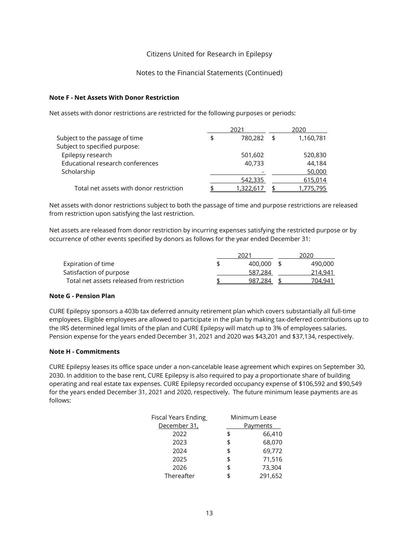# Notes to the Financial Statements (Continued)

## **Note F - Net Assets With Donor Restriction**

Net assets with donor restrictions are restricted for the following purposes or periods:

|                                         | 2021          |      | 2020      |
|-----------------------------------------|---------------|------|-----------|
| Subject to the passage of time          | \$<br>780.282 | - \$ | 1,160,781 |
| Subject to specified purpose:           |               |      |           |
| Epilepsy research                       | 501,602       |      | 520,830   |
| Educational research conferences        | 40,733        |      | 44,184    |
| Scholarship                             |               |      | 50,000    |
|                                         | 542,335       |      | 615,014   |
| Total net assets with donor restriction | 1.322.61      |      | 1.775.795 |

Net assets with donor restrictions subject to both the passage of time and purpose restrictions are released from restriction upon satisfying the last restriction.

Net assets are released from donor restriction by incurring expenses satisfying the restricted purpose or by occurrence of other events specified by donors as follows for the year ended December 31:

|                                            | $202^{\circ}$ | 2020    |
|--------------------------------------------|---------------|---------|
| Expiration of time                         | 400,000 \$    | 490,000 |
| Satisfaction of purpose                    | 587.284       | 214.941 |
| Total net assets released from restriction | 987.284       | 704.941 |

#### **Note G - Pension Plan**

CURE Epilepsy sponsors a 403b tax deferred annuity retirement plan which covers substantially all full-time employees. Eligible employees are allowed to participate in the plan by making tax-deferred contributions up to the IRS determined legal limits of the plan and CURE Epilepsy will match up to 3% of employees salaries. Pension expense for the years ended December 31, 2021 and 2020 was \$43,201 and \$37,134, respectively.

#### **Note H - Commitments**

CURE Epilepsy leases its office space under a non-cancelable lease agreement which expires on September 30, 2030. In addition to the base rent, CURE Epilepsy is also required to pay a proportionate share of building operating and real estate tax expenses. CURE Epilepsy recorded occupancy expense of \$106,592 and \$90,549 for the years ended December 31, 2021 and 2020, respectively. The future minimum lease payments are as follows:

| Fiscal Years Ending | Minimum Lease   |  |  |
|---------------------|-----------------|--|--|
| December 31,        | <b>Payments</b> |  |  |
| 2022                | \$<br>66,410    |  |  |
| 2023                | \$<br>68,070    |  |  |
| 2024                | \$<br>69,772    |  |  |
| 2025                | \$<br>71,516    |  |  |
| 2026                | \$<br>73,304    |  |  |
| Thereafter          | \$<br>291,652   |  |  |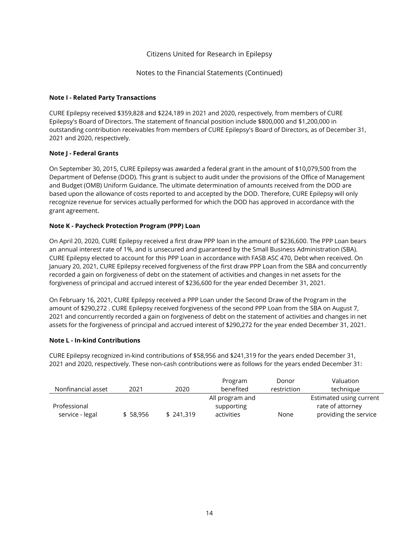Notes to the Financial Statements (Continued)

# **Note I - Related Party Transactions**

CURE Epilepsy received \$359,828 and \$224,189 in 2021 and 2020, respectively, from members of CURE Epilepsy's Board of Directors. The statement of financial position include \$800,000 and \$1,200,000 in outstanding contribution receivables from members of CURE Epilepsy's Board of Directors, as of December 31, 2021 and 2020, respectively.

# **Note J - Federal Grants**

On September 30, 2015, CURE Epilepsy was awarded a federal grant in the amount of \$10,079,500 from the Department of Defense (DOD). This grant is subject to audit under the provisions of the Office of Management and Budget (OMB) Uniform Guidance. The ultimate determination of amounts received from the DOD are based upon the allowance of costs reported to and accepted by the DOD. Therefore, CURE Epilepsy will only recognize revenue for services actually performed for which the DOD has approved in accordance with the grant agreement.

# **Note K - Paycheck Protection Program (PPP) Loan**

On April 20, 2020, CURE Epilepsy received a first draw PPP loan in the amount of \$236,600. The PPP Loan bears an annual interest rate of 1%, and is unsecured and guaranteed by the Small Business Administration (SBA). CURE Epilepsy elected to account for this PPP Loan in accordance with FASB ASC 470, Debt when received. On January 20, 2021, CURE Epilepsy received forgiveness of the first draw PPP Loan from the SBA and concurrently recorded a gain on forgiveness of debt on the statement of activities and changes in net assets for the forgiveness of principal and accrued interest of \$236,600 for the year ended December 31, 2021.

On February 16, 2021, CURE Epilepsy received a PPP Loan under the Second Draw of the Program in the amount of \$290,272 . CURE Epilepsy received forgiveness of the second PPP Loan from the SBA on August 7, 2021 and concurrently recorded a gain on forgiveness of debt on the statement of activities and changes in net assets for the forgiveness of principal and accrued interest of \$290,272 for the year ended December 31, 2021.

#### **Note L - In-kind Contributions**

CURE Epilepsy recognized in-kind contributions of \$58,956 and \$241,319 for the years ended December 31, 2021 and 2020, respectively. These non-cash contributions were as follows for the years ended December 31:

|                    |          |           | Program         | Donor       | Valuation               |
|--------------------|----------|-----------|-----------------|-------------|-------------------------|
| Nonfinancial asset | 2021     | 2020      | benefited       | restriction | technique               |
|                    |          |           | All program and |             | Estimated using current |
| Professional       |          |           | supporting      |             | rate of attorney        |
| service - legal    | \$58,956 | \$241,319 | activities      | None        | providing the service   |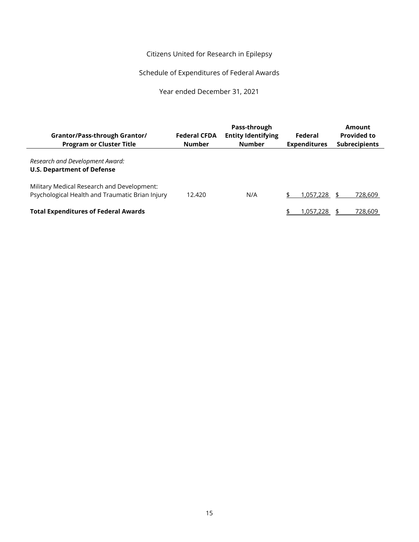# Schedule of Expenditures of Federal Awards

Year ended December 31, 2021

| Grantor/Pass-through Grantor/<br><b>Program or Cluster Title</b>                              | <b>Federal CFDA</b><br><b>Number</b> | Pass-through<br><b>Entity Identifying</b><br><b>Number</b> | Federal<br><b>Expenditures</b> | Amount<br><b>Provided to</b><br><b>Subrecipients</b> |
|-----------------------------------------------------------------------------------------------|--------------------------------------|------------------------------------------------------------|--------------------------------|------------------------------------------------------|
| Research and Development Award:<br><b>U.S. Department of Defense</b>                          |                                      |                                                            |                                |                                                      |
| Military Medical Research and Development:<br>Psychological Health and Traumatic Brian Injury | 12.420                               | N/A                                                        | 1.057.228                      | 728.609                                              |
| <b>Total Expenditures of Federal Awards</b>                                                   |                                      |                                                            | .057.228                       | 728.609                                              |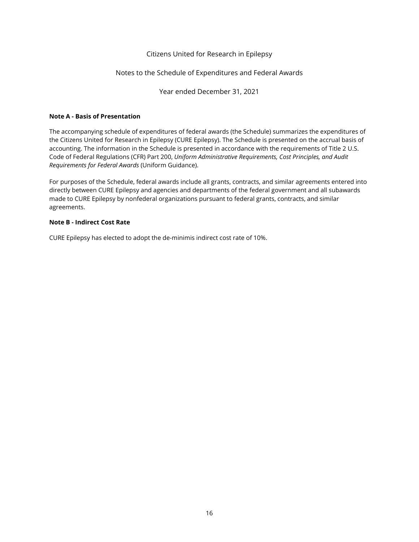# Notes to the Schedule of Expenditures and Federal Awards

Year ended December 31, 2021

#### **Note A - Basis of Presentation**

The accompanying schedule of expenditures of federal awards (the Schedule) summarizes the expenditures of the Citizens United for Research in Epilepsy (CURE Epilepsy). The Schedule is presented on the accrual basis of accounting. The information in the Schedule is presented in accordance with the requirements of Title 2 U.S. Code of Federal Regulations (CFR) Part 200, *Uniform Administrative Requirements, Cost Principles, and Audit Requirements for Federal Awards* (Uniform Guidance).

For purposes of the Schedule, federal awards include all grants, contracts, and similar agreements entered into directly between CURE Epilepsy and agencies and departments of the federal government and all subawards made to CURE Epilepsy by nonfederal organizations pursuant to federal grants, contracts, and similar agreements.

## **Note B - Indirect Cost Rate**

CURE Epilepsy has elected to adopt the de-minimis indirect cost rate of 10%.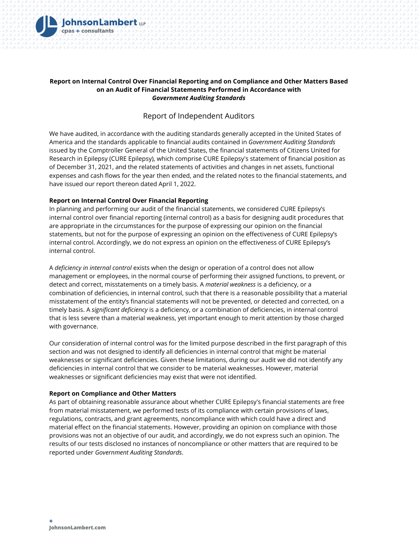

#### **Report on Internal Control Over Financial Reporting and on Compliance and Other Matters Based on an Audit of Financial Statements Performed in Accordance with** *Government Auditing Standards*

# Report of Independent Auditors

We have audited, in accordance with the auditing standards generally accepted in the United States of America and the standards applicable to financial audits contained in *Government Auditing Standards* issued by the Comptroller General of the United States, the financial statements of Citizens United for Research in Epilepsy (CURE Epilepsy), which comprise CURE Epilepsy's statement of financial position as of December 31, 2021, and the related statements of activities and changes in net assets, functional expenses and cash flows for the year then ended, and the related notes to the financial statements, and have issued our report thereon dated April 1, 2022.

# **Report on Internal Control Over Financial Reporting**

In planning and performing our audit of the financial statements, we considered CURE Epilepsy's internal control over financial reporting (internal control) as a basis for designing audit procedures that are appropriate in the circumstances for the purpose of expressing our opinion on the financial statements, but not for the purpose of expressing an opinion on the effectiveness of CURE Epilepsy's internal control. Accordingly, we do not express an opinion on the effectiveness of CURE Epilepsy's internal control.

A *deficiency in internal control* exists when the design or operation of a control does not allow management or employees, in the normal course of performing their assigned functions, to prevent, or detect and correct, misstatements on a timely basis. A *material weakness* is a deficiency, or a combination of deficiencies, in internal control, such that there is a reasonable possibility that a material misstatement of the entity's financial statements will not be prevented, or detected and corrected, on a timely basis. A *significant deficiency* is a deficiency, or a combination of deficiencies, in internal control that is less severe than a material weakness, yet important enough to merit attention by those charged with governance.

Our consideration of internal control was for the limited purpose described in the first paragraph of this section and was not designed to identify all deficiencies in internal control that might be material weaknesses or significant deficiencies. Given these limitations, during our audit we did not identify any deficiencies in internal control that we consider to be material weaknesses. However, material weaknesses or significant deficiencies may exist that were not identified.

#### **Report on Compliance and Other Matters**

As part of obtaining reasonable assurance about whether CURE Epilepsy's financial statements are free from material misstatement, we performed tests of its compliance with certain provisions of laws, regulations, contracts, and grant agreements, noncompliance with which could have a direct and material effect on the financial statements. However, providing an opinion on compliance with those provisions was not an objective of our audit, and accordingly, we do not express such an opinion. The results of our tests disclosed no instances of noncompliance or other matters that are required to be reported under *Government Auditing Standards*.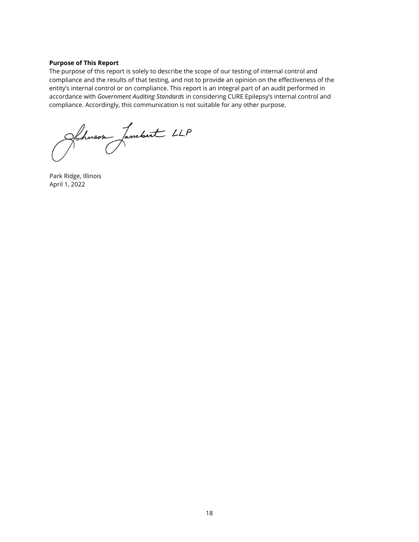#### **Purpose of This Report**

The purpose of this report is solely to describe the scope of our testing of internal control and compliance and the results of that testing, and not to provide an opinion on the effectiveness of the entity's internal control or on compliance. This report is an integral part of an audit performed in accordance with *Government Auditing Standards* in considering CURE Epilepsy's internal control and compliance. Accordingly, this communication is not suitable for any other purpose.

Inneven Jambert LLP

Park Ridge, Illinois April 1, 2022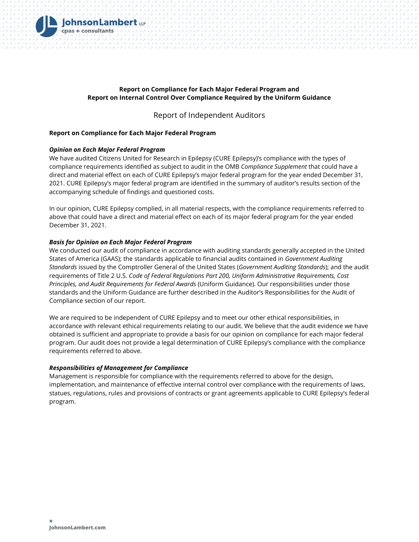

# **Report on Compliance for Each Major Federal Program and Report on Internal Control Over Compliance Required by the Uniform Guidance**

# Report of Independent Auditors

## **Report on Compliance for Each Major Federal Program**

#### *Opinion on Each Major Federal Program*

We have audited Citizens United for Research in Epilepsy (CURE Epilepsy)'s compliance with the types of compliance requirements identified as subject to audit in the OMB *Compliance Supplement* that could have a direct and material effect on each of CURE Epilepsy's major federal program for the year ended December 31, 2021. CURE Epilepsy's major federal program are identified in the summary of auditor's results section of the accompanying schedule of findings and questioned costs.

In our opinion, CURE Epilepsy complied, in all material respects, with the compliance requirements referred to above that could have a direct and material effect on each of its major federal program for the year ended December 31, 2021.

# *Basis for Opinion on Each Major Federal Program*

We conducted our audit of compliance in accordance with auditing standards generally accepted in the United States of America (GAAS); the standards applicable to financial audits contained in *Government Auditing Standards* issued by the Comptroller General of the United States (*Government Auditing Standards*); and the audit requirements of Title 2 U.S. *Code of Federal Regulations Part 200, Uniform Administrative Requirements, Cost Principles, and Audit Requirements for Federal Awards* (Uniform Guidance). Our responsibilities under those standards and the Uniform Guidance are further described in the Auditor's Responsibilities for the Audit of Compliance section of our report.

We are required to be independent of CURE Epilepsy and to meet our other ethical responsibilities, in accordance with relevant ethical requirements relating to our audit. We believe that the audit evidence we have obtained is sufficient and appropriate to provide a basis for our opinion on compliance for each major federal program. Our audit does not provide a legal determination of CURE Epilepsy's compliance with the compliance requirements referred to above.

#### *Responsibilities of Management for Compliance*

Management is responsible for compliance with the requirements referred to above for the design, implementation, and maintenance of effective internal control over compliance with the requirements of laws, statues, regulations, rules and provisions of contracts or grant agreements applicable to CURE Epilepsy's federal program.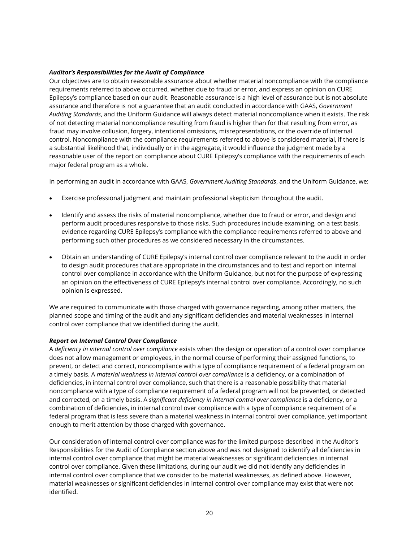#### *Auditor's Responsibilities for the Audit of Compliance*

Our objectives are to obtain reasonable assurance about whether material noncompliance with the compliance requirements referred to above occurred, whether due to fraud or error, and express an opinion on CURE Epilepsy's compliance based on our audit. Reasonable assurance is a high level of assurance but is not absolute assurance and therefore is not a guarantee that an audit conducted in accordance with GAAS, *Government Auditing Standards*, and the Uniform Guidance will always detect material noncompliance when it exists. The risk of not detecting material noncompliance resulting from fraud is higher than for that resulting from error, as fraud may involve collusion, forgery, intentional omissions, misrepresentations, or the override of internal control. Noncompliance with the compliance requirements referred to above is considered material, if there is a substantial likelihood that, individually or in the aggregate, it would influence the judgment made by a reasonable user of the report on compliance about CURE Epilepsy's compliance with the requirements of each major federal program as a whole.

In performing an audit in accordance with GAAS, *Government Auditing Standards*, and the Uniform Guidance, we:

- Exercise professional judgment and maintain professional skepticism throughout the audit.
- Identify and assess the risks of material noncompliance, whether due to fraud or error, and design and perform audit procedures responsive to those risks. Such procedures include examining, on a test basis, evidence regarding CURE Epilepsy's compliance with the compliance requirements referred to above and performing such other procedures as we considered necessary in the circumstances.
- Obtain an understanding of CURE Epilepsy's internal control over compliance relevant to the audit in order to design audit procedures that are appropriate in the circumstances and to test and report on internal control over compliance in accordance with the Uniform Guidance, but not for the purpose of expressing an opinion on the effectiveness of CURE Epilepsy's internal control over compliance. Accordingly, no such opinion is expressed.

We are required to communicate with those charged with governance regarding, among other matters, the planned scope and timing of the audit and any significant deficiencies and material weaknesses in internal control over compliance that we identified during the audit.

#### *Report on Internal Control Over Compliance*

A *deficiency in internal control over compliance* exists when the design or operation of a control over compliance does not allow management or employees, in the normal course of performing their assigned functions, to prevent, or detect and correct, noncompliance with a type of compliance requirement of a federal program on a timely basis. A *material weakness in internal control over compliance* is a deficiency, or a combination of deficiencies, in internal control over compliance, such that there is a reasonable possibility that material noncompliance with a type of compliance requirement of a federal program will not be prevented, or detected and corrected, on a timely basis. A *significant deficiency in internal control over compliance* is a deficiency, or a combination of deficiencies, in internal control over compliance with a type of compliance requirement of a federal program that is less severe than a material weakness in internal control over compliance, yet important enough to merit attention by those charged with governance.

Our consideration of internal control over compliance was for the limited purpose described in the Auditor's Responsibilities for the Audit of Compliance section above and was not designed to identify all deficiencies in internal control over compliance that might be material weaknesses or significant deficiencies in internal control over compliance. Given these limitations, during our audit we did not identify any deficiencies in internal control over compliance that we consider to be material weaknesses, as defined above. However, material weaknesses or significant deficiencies in internal control over compliance may exist that were not identified.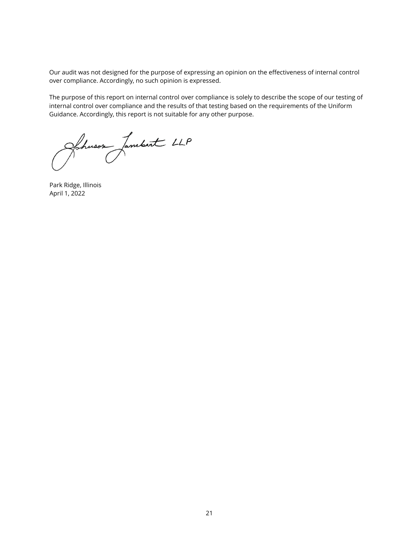Our audit was not designed for the purpose of expressing an opinion on the effectiveness of internal control over compliance. Accordingly, no such opinion is expressed.

The purpose of this report on internal control over compliance is solely to describe the scope of our testing of internal control over compliance and the results of that testing based on the requirements of the Uniform Guidance. Accordingly, this report is not suitable for any other purpose.

fchuson Jambert LLP

Park Ridge, Illinois April 1, 2022